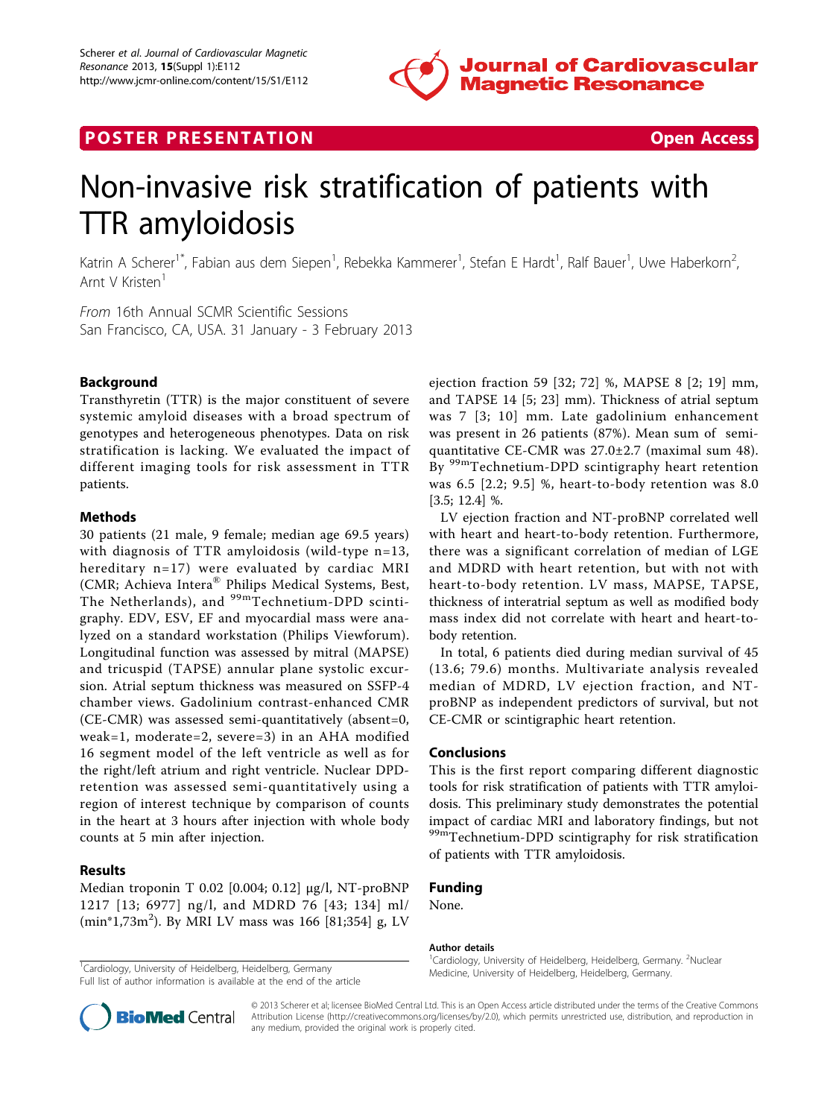

## **POSTER PRESENTATION CONSUMING THE SECOND CONSUMING THE SECOND CONSUMING THE SECOND CONSUMING THE SECOND CONSUMING THE SECOND CONSUMING THE SECOND CONSUMING THE SECOND CONSUMING THE SECOND CONSUMING THE SECOND CONSUMING**



# Non-invasive risk stratification of patients with TTR amyloidosis

Katrin A Scherer<sup>1\*</sup>, Fabian aus dem Siepen<sup>1</sup>, Rebekka Kammerer<sup>1</sup>, Stefan E Hardt<sup>1</sup>, Ralf Bauer<sup>1</sup>, Uwe Haberkorn<sup>2</sup> .<br>, Arnt V Kristen<sup>1</sup>

From 16th Annual SCMR Scientific Sessions San Francisco, CA, USA. 31 January - 3 February 2013

#### Background

Transthyretin (TTR) is the major constituent of severe systemic amyloid diseases with a broad spectrum of genotypes and heterogeneous phenotypes. Data on risk stratification is lacking. We evaluated the impact of different imaging tools for risk assessment in TTR patients.

#### Methods

30 patients (21 male, 9 female; median age 69.5 years) with diagnosis of TTR amyloidosis (wild-type n=13, hereditary n=17) were evaluated by cardiac MRI (CMR; Achieva Intera® Philips Medical Systems, Best, The Netherlands), and <sup>99m</sup>Technetium-DPD scintigraphy. EDV, ESV, EF and myocardial mass were analyzed on a standard workstation (Philips Viewforum). Longitudinal function was assessed by mitral (MAPSE) and tricuspid (TAPSE) annular plane systolic excursion. Atrial septum thickness was measured on SSFP-4 chamber views. Gadolinium contrast-enhanced CMR (CE-CMR) was assessed semi-quantitatively (absent=0, weak=1, moderate=2, severe=3) in an AHA modified 16 segment model of the left ventricle as well as for the right/left atrium and right ventricle. Nuclear DPDretention was assessed semi-quantitatively using a region of interest technique by comparison of counts in the heart at 3 hours after injection with whole body counts at 5 min after injection.

#### Results

Median troponin T 0.02 [0.004; 0.12] µg/l, NT-proBNP 1217 [13; 6977] ng/l, and MDRD 76 [43; 134] ml/ (min\*1,73m<sup>2</sup>). By MRI LV mass was 166 [81;354] g, LV

Full list of author information is available at the end of the article

ejection fraction 59 [32; 72] %, MAPSE 8 [2; 19] mm, and TAPSE 14 [5; 23] mm). Thickness of atrial septum was 7 [3; 10] mm. Late gadolinium enhancement was present in 26 patients (87%). Mean sum of semiquantitative CE-CMR was 27.0±2.7 (maximal sum 48). By <sup>99m</sup>Technetium-DPD scintigraphy heart retention was 6.5 [2.2; 9.5] %, heart-to-body retention was 8.0 [3.5; 12.4] %.

LV ejection fraction and NT-proBNP correlated well with heart and heart-to-body retention. Furthermore, there was a significant correlation of median of LGE and MDRD with heart retention, but with not with heart-to-body retention. LV mass, MAPSE, TAPSE, thickness of interatrial septum as well as modified body mass index did not correlate with heart and heart-tobody retention.

In total, 6 patients died during median survival of 45 (13.6; 79.6) months. Multivariate analysis revealed median of MDRD, LV ejection fraction, and NTproBNP as independent predictors of survival, but not CE-CMR or scintigraphic heart retention.

#### Conclusions

This is the first report comparing different diagnostic tools for risk stratification of patients with TTR amyloidosis. This preliminary study demonstrates the potential impact of cardiac MRI and laboratory findings, but not 99mTechnetium-DPD scintigraphy for risk stratification of patients with TTR amyloidosis.

### Funding

None.

#### Author details

<sup>1</sup> Cardiology, University of Heidelberg, Heidelberg, Germany. <sup>2</sup>Nuclear <sup>1</sup> Cardiology, University of Heidelberg, Heidelberg, Germany. 1999. The Cardiology, University of Heidelberg, Heidelberg, Germany.<br>The little of the cardiology of Heidelberg, Germany. 1999. The cardiology of Heidelberg, H



© 2013 Scherer et al; licensee BioMed Central Ltd. This is an Open Access article distributed under the terms of the Creative Commons Attribution License [\(http://creativecommons.org/licenses/by/2.0](http://creativecommons.org/licenses/by/2.0)), which permits unrestricted use, distribution, and reproduction in any medium, provided the original work is properly cited.